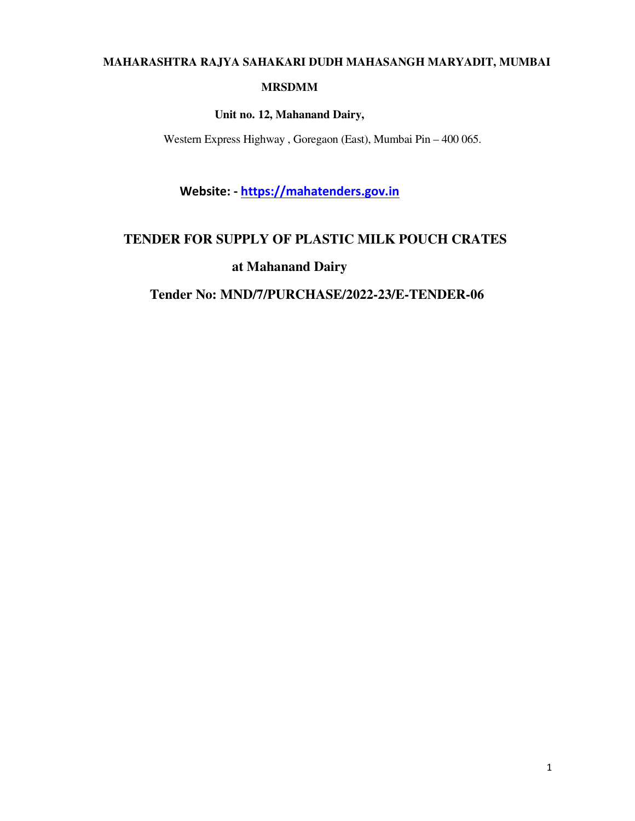# **MAHARASHTRA RAJYA SAHAKARI DUDH MAHASANGH MARYADIT, MUMBAI**

#### **MRSDMM**

**Unit no. 12, Mahanand Dairy,** 

Western Express Highway , Goregaon (East), Mumbai Pin – 400 065.

**Website: - https://mahatenders.gov.in**

## **TENDER FOR SUPPLY OF PLASTIC MILK POUCH CRATES**

**at Mahanand Dairy** 

## **Tender No: MND/7/PURCHASE/2022-23/E-TENDER-06**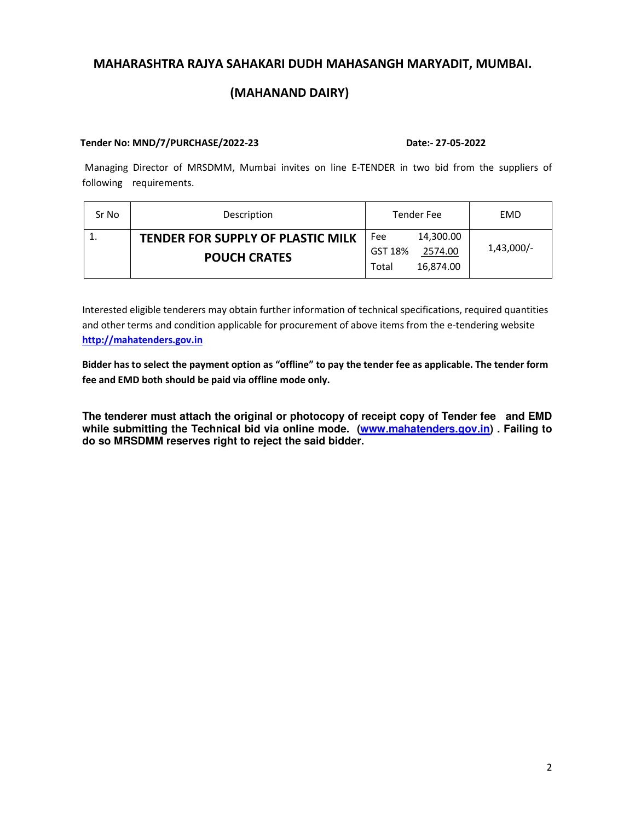## **MAHARASHTRA RAJYA SAHAKARI DUDH MAHASANGH MARYADIT, MUMBAI.**

### **(MAHANAND DAIRY)**

#### **Tender No: MND/7/PURCHASE/2022-23 Date:- 27-05-2022**

 Managing Director of MRSDMM, Mumbai invites on line E-TENDER in two bid from the suppliers of following requirements.

| Sr No | Description                              | Tender Fee         | EMD          |  |
|-------|------------------------------------------|--------------------|--------------|--|
|       | <b>TENDER FOR SUPPLY OF PLASTIC MILK</b> | 14,300.00<br>Fee   |              |  |
|       | <b>POUCH CRATES</b>                      | GST 18%<br>2574.00 | $1,43,000/-$ |  |
|       |                                          | 16,874.00<br>Total |              |  |

Interested eligible tenderers may obtain further information of technical specifications, required quantities and other terms and condition applicable for procurement of above items from the e-tendering website **http://mahatenders.gov.in**

**Bidder has to select the payment option as "offline" to pay the tender fee as applicable. The tender form fee and EMD both should be paid via offline mode only.** 

**The tenderer must attach the original or photocopy of receipt copy of Tender fee and EMD while submitting the Technical bid via online mode. (www.mahatenders.gov.in) . Failing to do so MRSDMM reserves right to reject the said bidder.**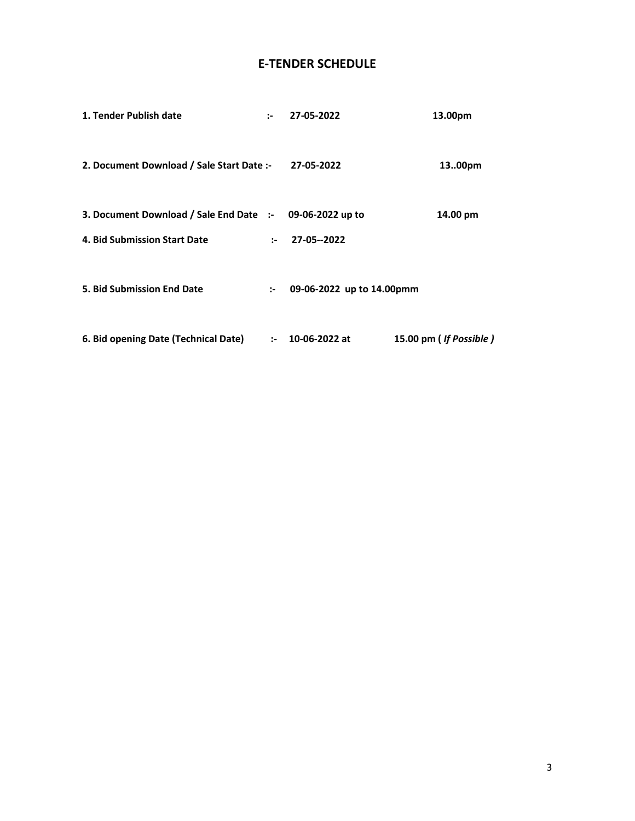## **E-TENDER SCHEDULE**

| 1. Tender Publish date                                   | $\sim$ | 27-05-2022                | 13.00pm                |
|----------------------------------------------------------|--------|---------------------------|------------------------|
| 2. Document Download / Sale Start Date :- 27-05-2022     |        |                           | 1300pm                 |
| 3. Document Download / Sale End Date :- 09-06-2022 up to |        |                           | 14.00 pm               |
| 4. Bid Submission Start Date                             |        | $: 27-05-2022$            |                        |
| <b>5. Bid Submission End Date</b>                        | $\sim$ | 09-06-2022 up to 14.00pmm |                        |
| 6. Bid opening Date (Technical Date)                     |        | $: 10-06-2022$ at         | 15.00 pm (If Possible) |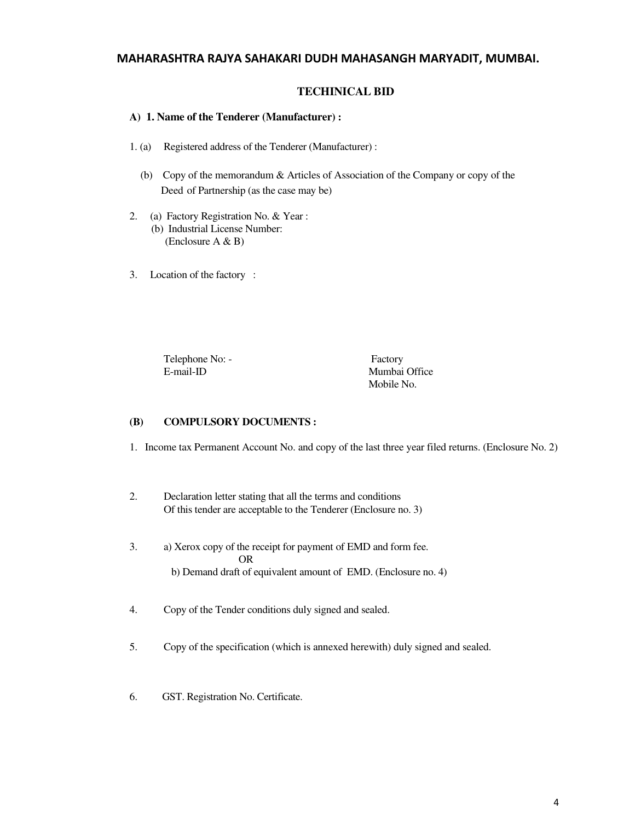#### **MAHARASHTRA RAJYA SAHAKARI DUDH MAHASANGH MARYADIT, MUMBAI.**

#### **TECHINICAL BID**

#### **A) 1. Name of the Tenderer (Manufacturer) :**

- 1. (a) Registered address of the Tenderer (Manufacturer) :
	- (b) Copy of the memorandum & Articles of Association of the Company or copy of the Deed of Partnership (as the case may be)
- 2. (a) Factory Registration No. & Year : (b) Industrial License Number: (Enclosure A & B)
- 3. Location of the factory :

Telephone No: - Factory E-mail-ID Mumbai Office

Mobile No.

#### **(B) COMPULSORY DOCUMENTS :**

- 1. Income tax Permanent Account No. and copy of the last three year filed returns. (Enclosure No. 2)
- 2. Declaration letter stating that all the terms and conditions Of this tender are acceptable to the Tenderer (Enclosure no. 3)
- 3. a) Xerox copy of the receipt for payment of EMD and form fee. OR b) Demand draft of equivalent amount of EMD. (Enclosure no. 4)
- 4. Copy of the Tender conditions duly signed and sealed.
- 5. Copy of the specification (which is annexed herewith) duly signed and sealed.
- 6. GST. Registration No. Certificate.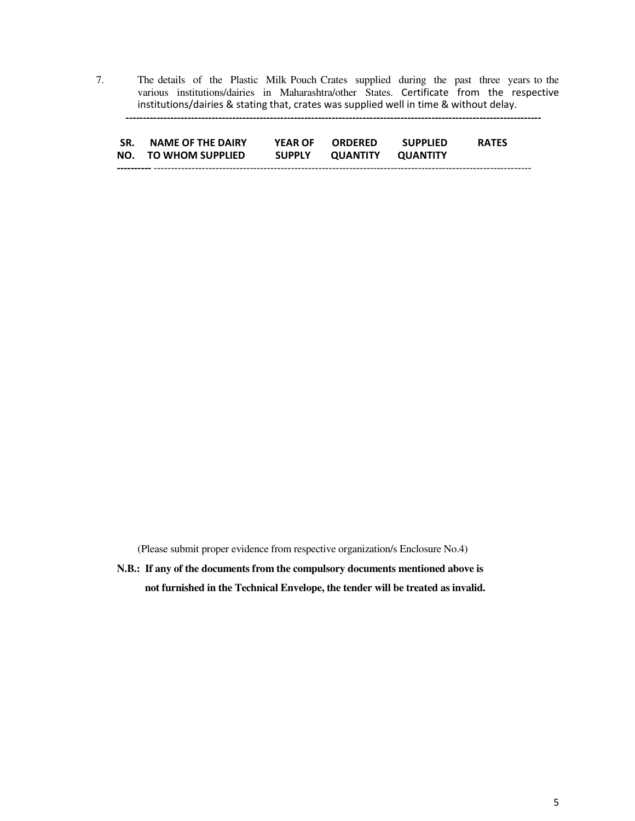7. The details of the Plastic Milk Pouch Crates supplied during the past three years to the various institutions/dairies in Maharashtra/other States. Certificate from the respective institutions/dairies & stating that, crates was supplied well in time & without delay.

 **-------------------------------------------------------------------------------------------------------------------------**

| SR. | <b>NAME OF THE DAIRY</b> | <b>YEAR OF</b> | <b>ORDERED</b> | <b>SUPPLIED</b> | <b>RATES</b> |
|-----|--------------------------|----------------|----------------|-----------------|--------------|
|     | NO. TO WHOM SUPPLIED     | <b>SUPPLY</b>  | QUANTITY       | OUANTITY        |              |
|     |                          |                |                |                 |              |

(Please submit proper evidence from respective organization/s Enclosure No.4)

**N.B.: If any of the documents from the compulsory documents mentioned above is not furnished in the Technical Envelope, the tender will be treated as invalid.**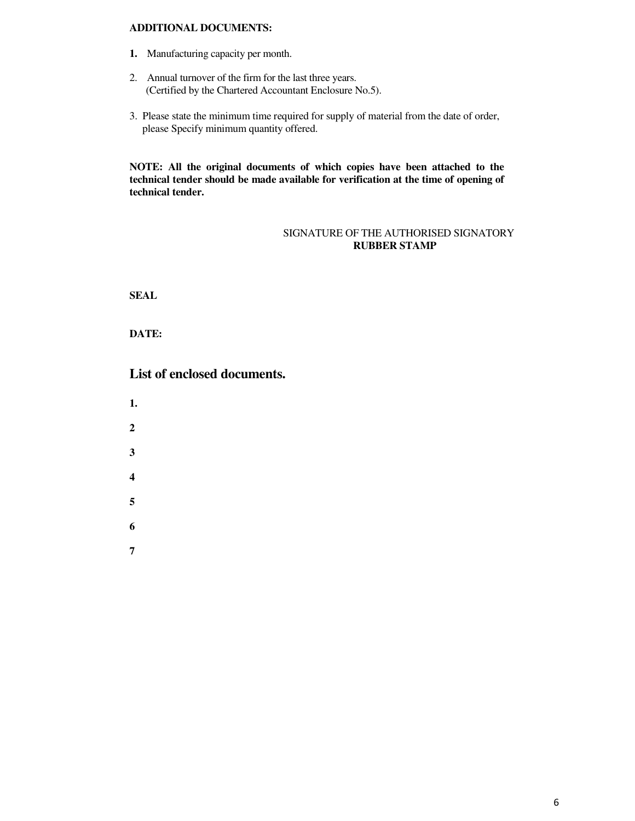#### **ADDITIONAL DOCUMENTS:**

- **1.** Manufacturing capacity per month.
- 2. Annual turnover of the firm for the last three years. (Certified by the Chartered Accountant Enclosure No.5).
- 3. Please state the minimum time required for supply of material from the date of order, please Specify minimum quantity offered.

**NOTE: All the original documents of which copies have been attached to the technical tender should be made available for verification at the time of opening of technical tender.** 

#### SIGNATURE OF THE AUTHORISED SIGNATORY **RUBBER STAMP**

**SEAL** 

**DATE:** 

**List of enclosed documents.** 

- **1.**
- 
- **2**
- **3**
- **4**
- 
- **5**
- **6**
- **7**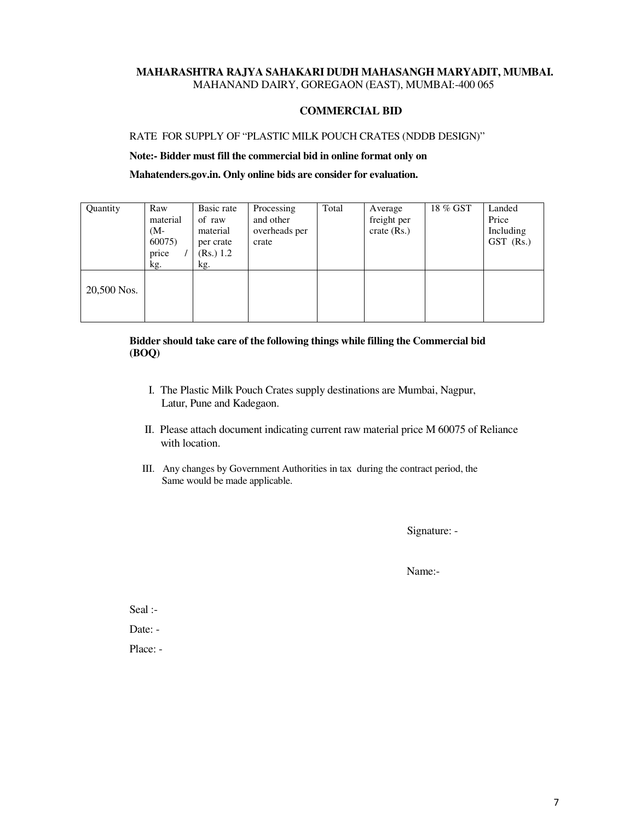#### **MAHARASHTRA RAJYA SAHAKARI DUDH MAHASANGH MARYADIT, MUMBAI.**  MAHANAND DAIRY, GOREGAON (EAST), MUMBAI:-400 065

#### **COMMERCIAL BID**

#### RATE FOR SUPPLY OF "PLASTIC MILK POUCH CRATES (NDDB DESIGN)"

**Note:- Bidder must fill the commercial bid in online format only on** 

**Mahatenders.gov.in. Only online bids are consider for evaluation.** 

| Quantity    | Raw<br>material<br>$(M -$<br>60075)<br>price<br>kg. | Basic rate<br>of raw<br>material<br>per crate<br>(Rs.) 1.2<br>kg. | Processing<br>and other<br>overheads per<br>crate | Total | Average<br>freight per<br>$crate$ (Rs.) | 18 % GST | Landed<br>Price<br>Including<br>GST (Rs.) |
|-------------|-----------------------------------------------------|-------------------------------------------------------------------|---------------------------------------------------|-------|-----------------------------------------|----------|-------------------------------------------|
| 20,500 Nos. |                                                     |                                                                   |                                                   |       |                                         |          |                                           |

#### **Bidder should take care of the following things while filling the Commercial bid (BOQ)**

- I. The Plastic Milk Pouch Crates supply destinations are Mumbai, Nagpur, Latur, Pune and Kadegaon.
- II. Please attach document indicating current raw material price M 60075 of Reliance with location.
- III. Any changes by Government Authorities in tax during the contract period, the Same would be made applicable.

Signature: -

Name:-

Seal :-

Date: -

Place: -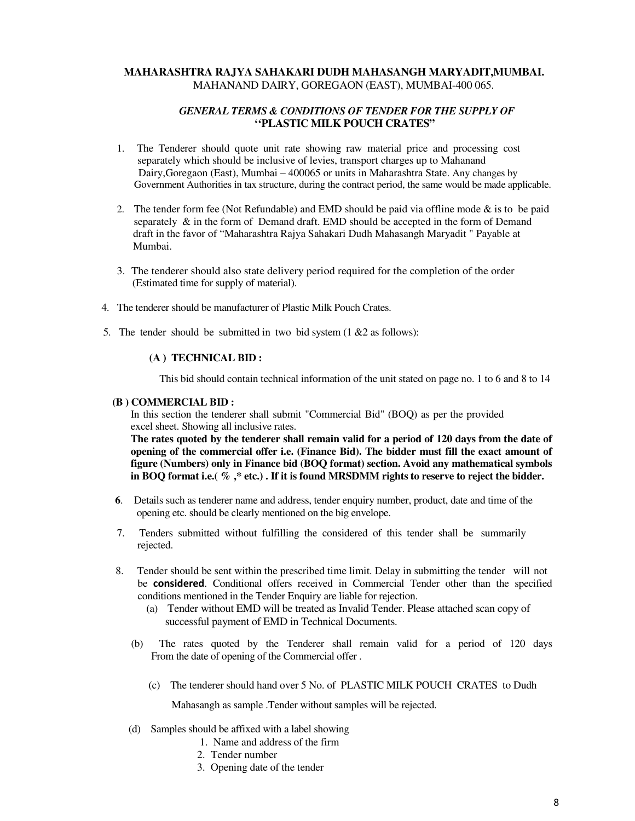#### **MAHARASHTRA RAJYA SAHAKARI DUDH MAHASANGH MARYADIT,MUMBAI.**  MAHANAND DAIRY, GOREGAON (EAST), MUMBAI-400 065.

#### *GENERAL TERMS & CONDITIONS OF TENDER FOR THE SUPPLY OF*  **''PLASTIC MILK POUCH CRATES"**

- 1. The Tenderer should quote unit rate showing raw material price and processing cost separately which should be inclusive of levies, transport charges up to Mahanand Dairy,Goregaon (East), Mumbai – 400065 or units in Maharashtra State. Any changes by Government Authorities in tax structure, during the contract period, the same would be made applicable.
- 2. The tender form fee (Not Refundable) and EMD should be paid via offline mode & is to be paid separately  $\&$  in the form of Demand draft. EMD should be accepted in the form of Demand draft in the favor of "Maharashtra Rajya Sahakari Dudh Mahasangh Maryadit " Payable at Mumbai.
- 3. The tenderer should also state delivery period required for the completion of the order (Estimated time for supply of material).
- 4. The tenderer should be manufacturer of Plastic Milk Pouch Crates.
- 5. The tender should be submitted in two bid system  $(1 \& 2 \text{ as follows})$ :

#### **(A ) TECHNICAL BID :**

This bid should contain technical information of the unit stated on page no. 1 to 6 and 8 to 14

#### **(B ) COMMERCIAL BID :**

In this section the tenderer shall submit "Commercial Bid" (BOQ) as per the provided excel sheet. Showing all inclusive rates.

**The rates quoted by the tenderer shall remain valid for a period of 120 days from the date of opening of the commercial offer i.e. (Finance Bid). The bidder must fill the exact amount of figure (Numbers) only in Finance bid (BOQ format) section. Avoid any mathematical symbols in BOQ format i.e.( % ,\* etc.) . If it is found MRSDMM rights to reserve to reject the bidder.** 

- **6**. Details such as tenderer name and address, tender enquiry number, product, date and time of the opening etc. should be clearly mentioned on the big envelope.
- 7. Tenders submitted without fulfilling the considered of this tender shall be summarily rejected.
- 8. Tender should be sent within the prescribed time limit. Delay in submitting the tender will not be **considered**. Conditional offers received in Commercial Tender other than the specified conditions mentioned in the Tender Enquiry are liable for rejection.
	- (a) Tender without EMD will be treated as Invalid Tender. Please attached scan copy of successful payment of EMD in Technical Documents.
	- (b) The rates quoted by the Tenderer shall remain valid for a period of 120 days From the date of opening of the Commercial offer .
		- (c) The tenderer should hand over 5 No. of PLASTIC MILK POUCH CRATES to Dudh

Mahasangh as sample .Tender without samples will be rejected.

- (d) Samples should be affixed with a label showing
	- 1. Name and address of the firm
	- 2. Tender number
	- 3. Opening date of the tender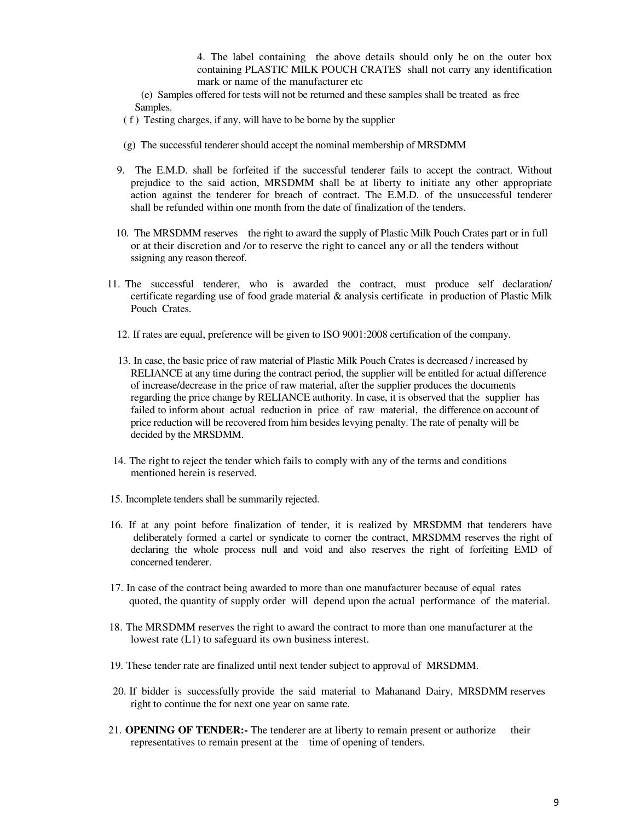4. The label containing the above details should only be on the outer box containing PLASTIC MILK POUCH CRATES shall not carry any identification mark or name of the manufacturer etc

 (e) Samples offered for tests will not be returned and these samples shall be treated as free Samples.

( f ) Testing charges, if any, will have to be borne by the supplier

- (g) The successful tenderer should accept the nominal membership of MRSDMM
- 9. The E.M.D. shall be forfeited if the successful tenderer fails to accept the contract. Without prejudice to the said action, MRSDMM shall be at liberty to initiate any other appropriate action against the tenderer for breach of contract. The E.M.D. of the unsuccessful tenderer shall be refunded within one month from the date of finalization of the tenders.
- 10. The MRSDMM reserves the right to award the supply of Plastic Milk Pouch Crates part or in full or at their discretion and /or to reserve the right to cancel any or all the tenders without ssigning any reason thereof.
- 11. The successful tenderer, who is awarded the contract, must produce self declaration/ certificate regarding use of food grade material & analysis certificate in production of Plastic Milk Pouch Crates.
	- 12. If rates are equal, preference will be given to ISO 9001:2008 certification of the company.
	- 13. In case, the basic price of raw material of Plastic Milk Pouch Crates is decreased / increased by RELIANCE at any time during the contract period, the supplier will be entitled for actual difference of increase/decrease in the price of raw material, after the supplier produces the documents regarding the price change by RELIANCE authority. In case, it is observed that the supplier has failed to inform about actual reduction in price of raw material, the difference on account of price reduction will be recovered from him besides levying penalty. The rate of penalty will be decided by the MRSDMM.
- 14. The right to reject the tender which fails to comply with any of the terms and conditions mentioned herein is reserved.
- 15. Incomplete tenders shall be summarily rejected.
- 16. If at any point before finalization of tender, it is realized by MRSDMM that tenderers have deliberately formed a cartel or syndicate to corner the contract, MRSDMM reserves the right of declaring the whole process null and void and also reserves the right of forfeiting EMD of concerned tenderer.
- 17. In case of the contract being awarded to more than one manufacturer because of equal rates quoted, the quantity of supply order will depend upon the actual performance of the material.
- 18. The MRSDMM reserves the right to award the contract to more than one manufacturer at the lowest rate (L1) to safeguard its own business interest.
- 19. These tender rate are finalized until next tender subject to approval of MRSDMM.
- 20. If bidder is successfully provide the said material to Mahanand Dairy, MRSDMM reserves right to continue the for next one year on same rate.
- 21. **OPENING OF TENDER:-** The tenderer are at liberty to remain present or authorize their representatives to remain present at the time of opening of tenders.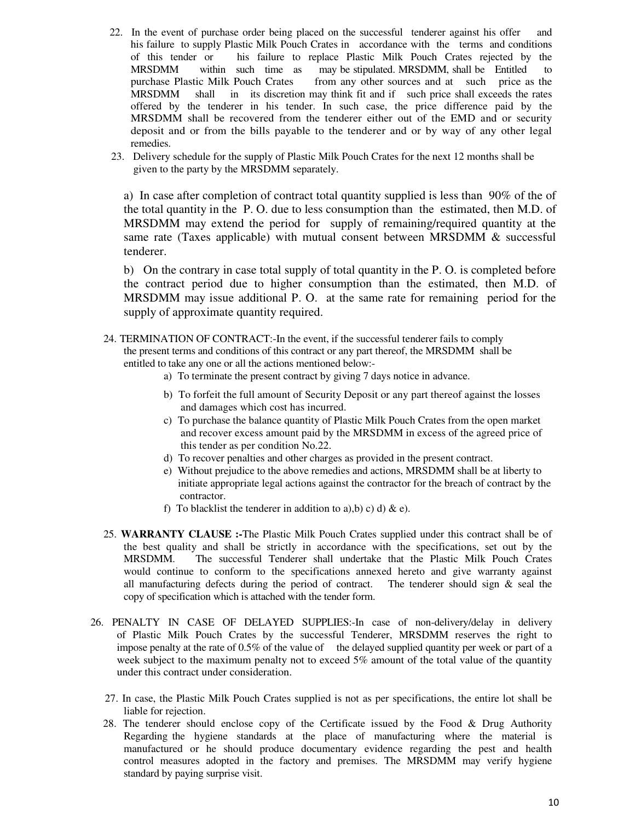- 22. In the event of purchase order being placed on the successful tenderer against his offer and his failure to supply Plastic Milk Pouch Crates in accordance with the terms and conditions of this tender or his failure to replace Plastic Milk Pouch Crates rejected by the MRSDMM within such time as may be stipulated. MRSDMM, shall be Entitled to purchase Plastic Milk Pouch Crates from any other sources and at such price as the MRSDMM shall in its discretion may think fit and if such price shall exceeds the rates offered by the tenderer in his tender. In such case, the price difference paid by the MRSDMM shall be recovered from the tenderer either out of the EMD and or security deposit and or from the bills payable to the tenderer and or by way of any other legal remedies.
- 23. Delivery schedule for the supply of Plastic Milk Pouch Crates for the next 12 months shall be given to the party by the MRSDMM separately.

a) In case after completion of contract total quantity supplied is less than 90% of the of the total quantity in the P. O. due to less consumption than the estimated, then M.D. of MRSDMM may extend the period for supply of remaining/required quantity at the same rate (Taxes applicable) with mutual consent between MRSDMM & successful tenderer.

b) On the contrary in case total supply of total quantity in the P. O. is completed before the contract period due to higher consumption than the estimated, then M.D. of MRSDMM may issue additional P. O. at the same rate for remaining period for the supply of approximate quantity required.

- 24. TERMINATION OF CONTRACT:-In the event, if the successful tenderer fails to comply the present terms and conditions of this contract or any part thereof, the MRSDMM shall be entitled to take any one or all the actions mentioned below:
	- a) To terminate the present contract by giving 7 days notice in advance.
	- b) To forfeit the full amount of Security Deposit or any part thereof against the losses and damages which cost has incurred.
	- c) To purchase the balance quantity of Plastic Milk Pouch Crates from the open market and recover excess amount paid by the MRSDMM in excess of the agreed price of this tender as per condition No.22.
	- d) To recover penalties and other charges as provided in the present contract.
	- e) Without prejudice to the above remedies and actions, MRSDMM shall be at liberty to initiate appropriate legal actions against the contractor for the breach of contract by the contractor.
	- f) To blacklist the tenderer in addition to a), b) c) d) & e).
- 25. **WARRANTY CLAUSE :-**The Plastic Milk Pouch Crates supplied under this contract shall be of the best quality and shall be strictly in accordance with the specifications, set out by the MRSDMM. The successful Tenderer shall undertake that the Plastic Milk Pouch Crates would continue to conform to the specifications annexed hereto and give warranty against all manufacturing defects during the period of contract. The tenderer should sign  $\&$  seal the copy of specification which is attached with the tender form.
- 26. PENALTY IN CASE OF DELAYED SUPPLIES:-In case of non-delivery/delay in delivery of Plastic Milk Pouch Crates by the successful Tenderer, MRSDMM reserves the right to impose penalty at the rate of  $0.5\%$  of the value of the delayed supplied quantity per week or part of a week subject to the maximum penalty not to exceed 5% amount of the total value of the quantity under this contract under consideration.
	- 27. In case, the Plastic Milk Pouch Crates supplied is not as per specifications, the entire lot shall be liable for rejection.
	- 28. The tenderer should enclose copy of the Certificate issued by the Food & Drug Authority Regarding the hygiene standards at the place of manufacturing where the material is manufactured or he should produce documentary evidence regarding the pest and health control measures adopted in the factory and premises. The MRSDMM may verify hygiene standard by paying surprise visit.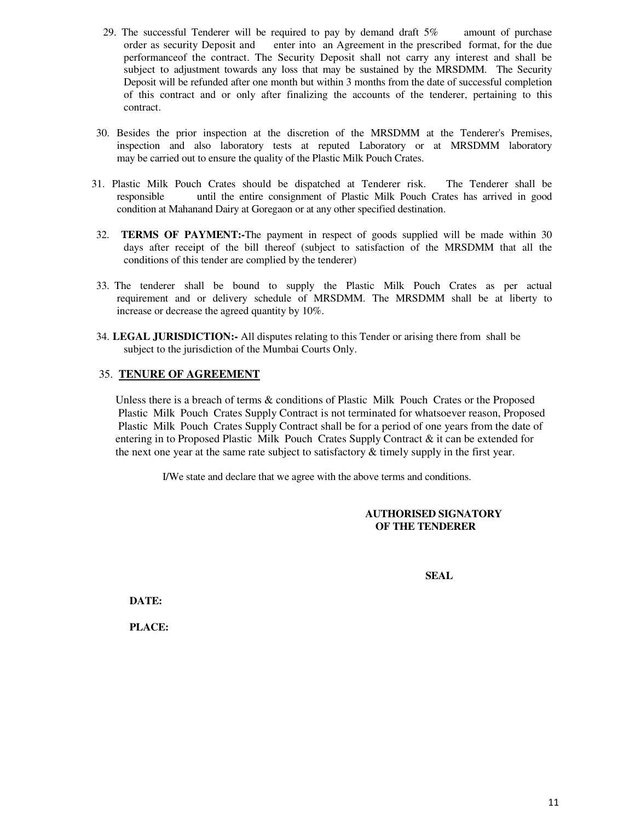- 29. The successful Tenderer will be required to pay by demand draft 5% amount of purchase order as security Deposit and enter into an Agreement in the prescribed format, for the due performanceof the contract. The Security Deposit shall not carry any interest and shall be subject to adjustment towards any loss that may be sustained by the MRSDMM. The Security Deposit will be refunded after one month but within 3 months from the date of successful completion of this contract and or only after finalizing the accounts of the tenderer, pertaining to this contract.
- 30. Besides the prior inspection at the discretion of the MRSDMM at the Tenderer's Premises, inspection and also laboratory tests at reputed Laboratory or at MRSDMM laboratory may be carried out to ensure the quality of the Plastic Milk Pouch Crates.
- 31. Plastic Milk Pouch Crates should be dispatched at Tenderer risk. The Tenderer shall be responsible until the entire consignment of Plastic Milk Pouch Crates has arrived in good condition at Mahanand Dairy at Goregaon or at any other specified destination.
- 32. **TERMS OF PAYMENT:-**The payment in respect of goods supplied will be made within 30 days after receipt of the bill thereof (subject to satisfaction of the MRSDMM that all the conditions of this tender are complied by the tenderer)
- 33. The tenderer shall be bound to supply the Plastic Milk Pouch Crates as per actual requirement and or delivery schedule of MRSDMM. The MRSDMM shall be at liberty to increase or decrease the agreed quantity by 10%.
- 34. **LEGAL JURISDICTION:-** All disputes relating to this Tender or arising there from shall be subject to the jurisdiction of the Mumbai Courts Only.

#### 35. **TENURE OF AGREEMENT**

 Unless there is a breach of terms & conditions of Plastic Milk Pouch Crates or the Proposed Plastic Milk Pouch Crates Supply Contract is not terminated for whatsoever reason, Proposed Plastic Milk Pouch Crates Supply Contract shall be for a period of one years from the date of entering in to Proposed Plastic Milk Pouch Crates Supply Contract & it can be extended for the next one year at the same rate subject to satisfactory  $\&$  timely supply in the first year.

I/We state and declare that we agree with the above terms and conditions.

#### **AUTHORISED SIGNATORY OF THE TENDERER**

 **SEAL** 

**DATE:** 

**PLACE:**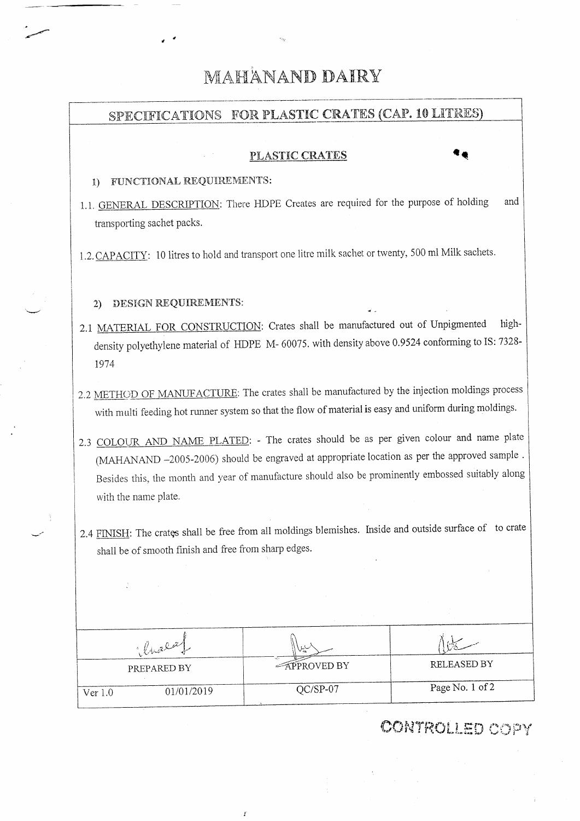# MAHANAND DAIRY

# SPECIFICATIONS FOR PLASTIC CRATES (CAP. 10 LITRES) PLASTIC CRATES 1) FUNCTIONAL REQUIREMENTS: 1.1. GENERAL DESCRIPTION: There HDPE Creates are required for the purpose of holding and transporting sachet packs. 1.2. CAPACITY: 10 litres to hold and transport one litre milk sachet or twenty, 500 ml Milk sachets. 2) DESIGN REQUIREMENTS: 2.1 MATERIAL FOR CONSTRUCTION: Crates shall be manufactured out of Unpigmented highdensity polyethylene material of HDPE M- 60075. with density above 0.9524 conforming to IS: 7328-1974 2.2 METHOD OF MANUFACTURE: The crates shall be manufactured by the injection moldings process with multi feeding hot runner system so that the flow of material is easy and uniform during moldings. 2.3 COLOUR AND NAME PLATED: - The crates should be as per given colour and name plate (MAHANAND -2005-2006) should be engraved at appropriate location as per the approved sample. Besides this, the month and year of manufacture should also be prominently embossed suitably along with the name plate. 2.4 FINISH: The crates shall be free from all moldings blemishes. Inside and outside surface of to crate shall be of smooth finish and free from sharp edges. Chala

RELEASED BY **APPROVED BY** PREPARED BY Page No. 1 of 2  $\overline{QC/SP-07}$  $01/01/2019$ 

Ï

 $Ver 1.0$ 

# **CONTROLLED COPY**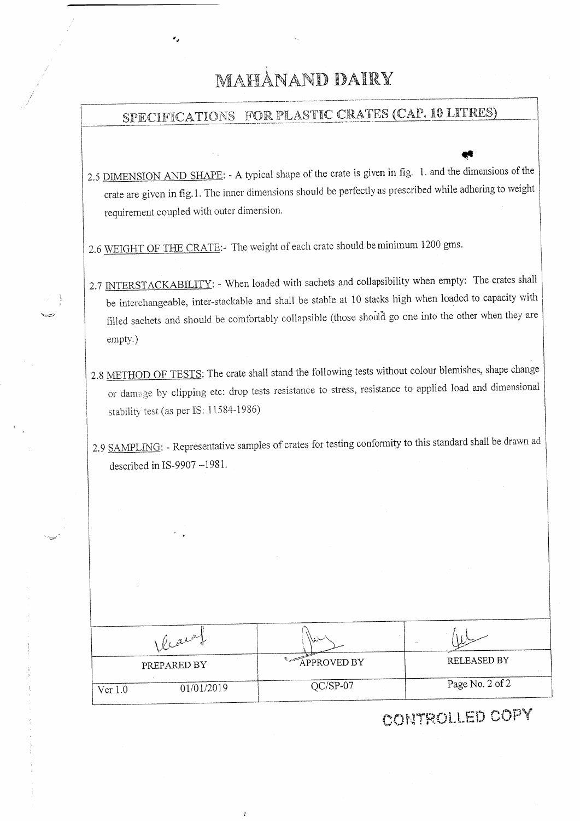# MAHANAND DAIRY

٠.

# SPECIFICATIONS FOR PLASTIC CRATES (CAP. 10 LITRES)

- 2.5 DIMENSION AND SHAPE: A typical shape of the crate is given in fig. 1. and the dimensions of the crate are given in fig.1. The inner dimensions should be perfectly as prescribed while adhering to weight requirement coupled with outer dimension.
- 2.6 WEIGHT OF THE CRATE:- The weight of each crate should be minimum 1200 gms.
- 2.7 INTERSTACKABILITY: When loaded with sachets and collapsibility when empty: The crates shall be interchangeable, inter-stackable and shall be stable at 10 stacks high when loaded to capacity with filled sachets and should be comfortably collapsible (those should go one into the other when they are empty.)
- 2.8 METHOD OF TESTS: The crate shall stand the following tests without colour blemishes, shape change or damage by clipping etc: drop tests resistance to stress, resistance to applied load and dimensional stability test (as per IS: 11584-1986)

2.9 SAMPLING: - Representative samples of crates for testing conformity to this standard shall be drawn ad described in IS-9907  $-1981$ .

| Vealer                | سنذبا              |                 |
|-----------------------|--------------------|-----------------|
| PREPARED BY           | <b>APPROVED BY</b> | RELEASED BY     |
| 01/01/2019<br>Ver 1.0 | $QC/SP-07$         | Page No. 2 of 2 |

Ï

CONTROLLED COPY